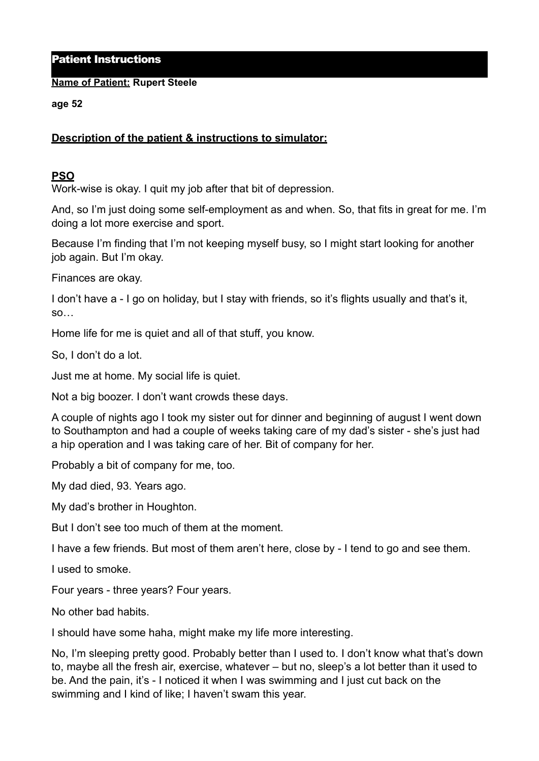Patient Instructions

**Name of Patient: Rupert Steele**

**age 52** 

## **Description of the patient & instructions to simulator:**

## **PSO**

Work-wise is okay. I quit my job after that bit of depression.

And, so I'm just doing some self-employment as and when. So, that fits in great for me. I'm doing a lot more exercise and sport.

Because I'm finding that I'm not keeping myself busy, so I might start looking for another job again. But I'm okay.

Finances are okay.

I don't have a - I go on holiday, but I stay with friends, so it's flights usually and that's it, so…

Home life for me is quiet and all of that stuff, you know.

So, I don't do a lot.

Just me at home. My social life is quiet.

Not a big boozer. I don't want crowds these days.

A couple of nights ago I took my sister out for dinner and beginning of august I went down to Southampton and had a couple of weeks taking care of my dad's sister - she's just had a hip operation and I was taking care of her. Bit of company for her.

Probably a bit of company for me, too.

My dad died, 93. Years ago.

My dad's brother in Houghton.

But I don't see too much of them at the moment.

I have a few friends. But most of them aren't here, close by - I tend to go and see them.

I used to smoke.

Four years - three years? Four years.

No other bad habits.

I should have some haha, might make my life more interesting.

No, I'm sleeping pretty good. Probably better than I used to. I don't know what that's down to, maybe all the fresh air, exercise, whatever – but no, sleep's a lot better than it used to be. And the pain, it's - I noticed it when I was swimming and I just cut back on the swimming and I kind of like; I haven't swam this year.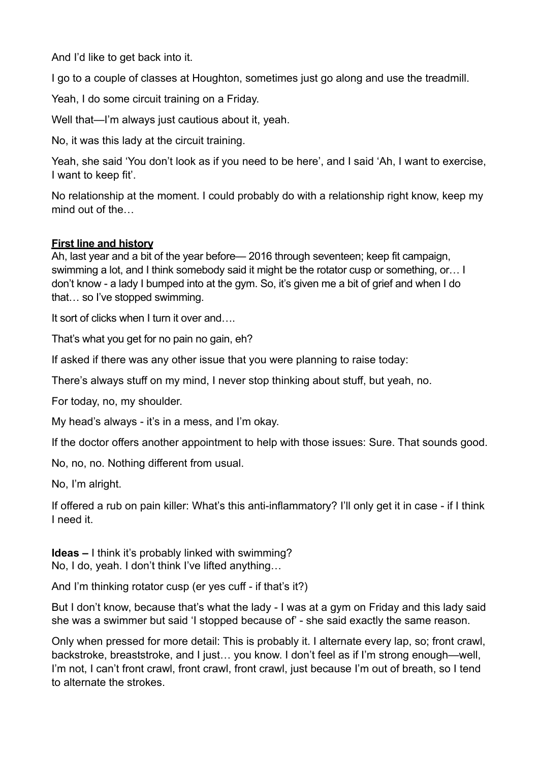And I'd like to get back into it.

I go to a couple of classes at Houghton, sometimes just go along and use the treadmill.

Yeah, I do some circuit training on a Friday.

Well that—I'm always just cautious about it, yeah.

No, it was this lady at the circuit training.

Yeah, she said 'You don't look as if you need to be here', and I said 'Ah, I want to exercise, I want to keep fit'.

No relationship at the moment. I could probably do with a relationship right know, keep my mind out of the…

## **First line and history**

Ah, last year and a bit of the year before— 2016 through seventeen; keep fit campaign, swimming a lot, and I think somebody said it might be the rotator cusp or something, or… I don't know - a lady I bumped into at the gym. So, it's given me a bit of grief and when I do that… so I've stopped swimming.

It sort of clicks when I turn it over and....

That's what you get for no pain no gain, eh?

If asked if there was any other issue that you were planning to raise today:

There's always stuff on my mind, I never stop thinking about stuff, but yeah, no.

For today, no, my shoulder.

My head's always - it's in a mess, and I'm okay.

If the doctor offers another appointment to help with those issues: Sure. That sounds good.

No, no, no. Nothing different from usual.

No, I'm alright.

If offered a rub on pain killer: What's this anti-inflammatory? I'll only get it in case - if I think I need it.

**Ideas –** I think it's probably linked with swimming? No, I do, yeah. I don't think I've lifted anything…

And I'm thinking rotator cusp (er yes cuff - if that's it?)

But I don't know, because that's what the lady - I was at a gym on Friday and this lady said she was a swimmer but said 'I stopped because of' - she said exactly the same reason.

Only when pressed for more detail: This is probably it. I alternate every lap, so; front crawl, backstroke, breaststroke, and I just… you know. I don't feel as if I'm strong enough—well, I'm not. I can't front crawl, front crawl, front crawl, just because I'm out of breath, so I tend to alternate the strokes.